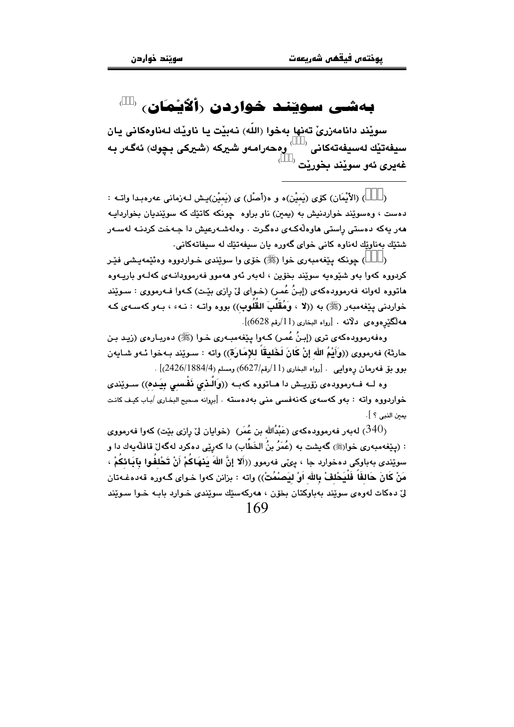## بەشى سويند خواردن رألأيمان، ‹

سوٽند دانامەزریؒ تەنھا بەخوا (اللّٰه) نەپٽت با ناوٽك لەناوەكانى بان سيفەتێك لەسيفەتەكانى  $\rightarrow$ وەحەرامەو شيركە (شيركى بـﭽوك) ئەگەر بـﻪ غەبرى ئەق سويْند بخوريْت  $^\circ$ 

) (الأَيْمَان) كۆي (يَميْن)ه و ه(أَصْل) ي (يَميْن)يش لـهزماني عهرهبدا واتـه :  $\lambda$ دهست ، وهسويْند خواردنيش به (يمين) ناو براوه حونكه كاتيّك كه سويْنديان بخواردايـه .<br>هەر يەكە دەستى راستى ھاوەلەكەي دەگرت . وەلەشـەرعيش دا جـەخت كردنـە لەسـەر شتێك بەناوێك لەناوە كانى خواي گەورە يان سيفەتێك لە سيفاتەكانى.

) جونکه بینفهمبهری خوا (ﷺ) خوّی وا سویندی خـواردووه وهئیمهیشی فیّر  $\lambda$ کردووه کهوا بهو شێومیه سوێند بخۆین ، لهبەر ئەو ھەموو فەرموودانـەی کەلـەو باریـەوە ماتووه لهوانه فهرموودهکهی (إبنُ عُمـر) (خـوای لیٌ رِازی بیّـت) کـهوا فـهرمووی : سـویّند خواردنی یێغەمبەر (ﷺ) بە ((لا ، وَهُقَلُبَ القُلُوب)) بووه واتـه : نـهء ، بـهو كەسـەي كـه هه لڳٽر دو دي -دلانه - [رواه البخاري (11/رقم 6628)].

وهفهرموودهکهي تري (إِبنُ عُمر) کـهوا پێغهمبـهري خـوا (ﷺ) دهريـارهي (زيـد بـن حارثة) فەرمووى ((وَأَيْمُ الله إنْ كَانَ لَخَليقًا للإمَارَة)) واته : سـوێند بـهخوا ئـهو شـايەن بوو بق فه رمان رهوايي . [رواه البخاري (11/رقم/6627) ومسلم (4/2426)[2426]] .

وه لـه فـهرموودهي زوّريــش دا هـاتووه كهيـه ((واَلّـذي نَفْـسي بِينَـده)) سـوێندي .<br>خواردووه واته : بهو كهسهى كهنهفسى منى بهدهسته . [بروانه صحيح البخارى /بـاب كيـف كانـت يمن النبي ؟ ].

به الله عليه الله عنه الله عنه عليه الله عنه الله عنها كما عليه الله عليه الله عليه الله عليه الله عليه الله ع<br>الله عليه الله عليه الله عليه الله عليه الله عليه الله عليه الله عليه الله عليه الله عليه الله عليه الله عليه : (يێغەمبەرى خوارﷺ) گەيشت بە (عُمَرُ بنُ الخَطَّابِ) دا كەرێى دەكرد لەگەلٚ قافلْەيەك دا و سوێندي بهباوکي دهخوارد جا ، بيِّي فهرموو ((أَلا إنَّ اللَّهَ بَنهَاكُمْ أَنْ تَحْلفُوا بِآيَائِكُمْ ، مَنْ كَانَ حَالِفًا فَلَيَحْلِفْ بِالله اَوْ لِيَصِبْمُتْ)) وإنه : يزانن كهوا خواي گـهوره قهدهغـهتان ليّ دهکات لهوهي سويّند بهباوکتان بخوّن ، ههرکهسێك سويّندي خـوارد بابـه خـوا سـويّند 169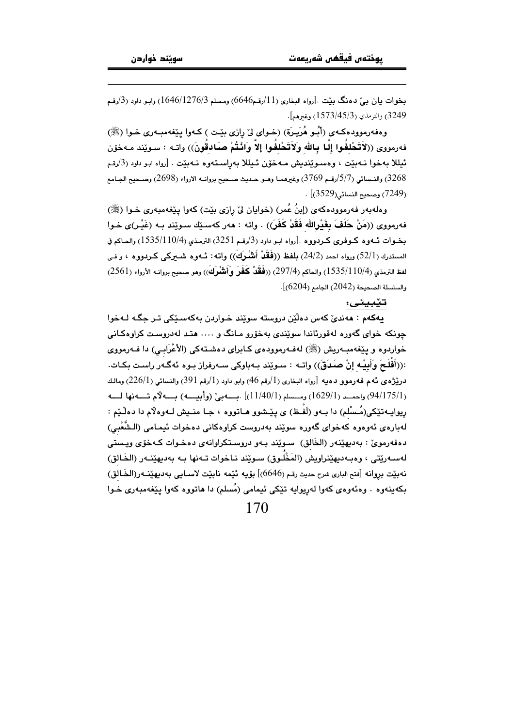$\overline{a}$ 

بخوات بيان بـيٌ دهنگ بـێت .[رواه البخارى (11/رقـم6646) ومـسلم 1646/1276/3) وابـو داود (3/رقـم 3249) والترمذي (1573/45/3) وغيرهم].

وهفهرموودهکهي (أَبُو هُرَيِرَة) (خواي ليْ رِازِي بِيْت ) کـهوا پِيْغهمبـهري خـوا (ﷺ) فهرمووى ((لاَتَحْلِفُوا إِلَىا بِاللهِ وَلاَتَحْلِفُوا إِلاّ وَانْتُمْ صَادقُونَ)) واتـه : سـويْند مـهخوّن ئيللا بەخوا نـەبێت ، وەسـوێندىش مـەخۆن ئـيللا بەراسـتەوە نـەبێت . [رواه ابـو داود (3/رقـم 3268) والنـسائي (5/7/رقـم 3769) وغيرهمـا وهـو حـديث صـحيح بروانــه الارواء (2698) وصـحيح الجـامع  $(3529)$ وصحيح النسائي (3529)  $(7249)$ 

وهلهبهر فهرموودهکهي (إبنُ عُمر) (خوايان ليّ رازي بيّت) کهوا پيّغهمبهري خـوا (ﷺ) فهرمووى ((مَنْ حَلَفَ بِغَيْرِاللهِ فَقَدْ كَفَرَ)) . واته : ههر كهسـێك سـوێند بـه (غَيْـر)ى خـوا بخـوات ئــهوه كـوفرى كـردووه .[رواه ابـو داود (3/رقـم 3251) الترمـذي (110/4/1535) والحـاكم في المستدرك (52/1) ورواه احمد (24/2) بلفظ ((فَقَدْ أَنْشُرَكَ)) واتـه: ئــهوه شـــيركمى كــردووه ، و فــى لفظ الترمذي (1 $10/4$ 1535) والحاكم (297/4) ((**فَقَدْ كَفَرَ وَأَنشْرِكَ**)) وهو صحيح بروانــه الأرواء (2561) والسلسلة الصحيحة (2042) الجامع (6204)].

## -

يهکهم : مەندىٰ کەس دەلْيٚن دروستە سوێند خـواردن بەکەسـێکى تـر جگـه لـﻪخوا چونکه خوای گەوره لەقورئاندا سوێندی بەخۆرو مـانگ و …. هتـد لەدروسـت کراوهکـانی خواردوه و پێغهمبـهريش (ﷺ) لهفـهرموودهى كـابراى دهشـتهكى (الأعْرَابـي) دا فــهرمووى :((أَفْلَـحَ وَأَبِيْـهِ إِنْ صَـدَقَ)) واتــه : سـوێند بـهباوكى سـهرفراز بـوه ئهگـهر راسـت بكـات.  $(1)_2$ درێژه $\,$ ی دٌهم فه $\,$ رموو دهیه  $\,$ رواه البخاری ( $1\rangle$ رقم 46) وابو داود ( $1\rangle$ رقم 391) والنسائي (2 $26/1$ ) ومالـك (94/175/1) واحمد (1629/1) ومسسلم (1/40/1)] .بسمه بيّ (وأبيسه) بسمه لاّم تسمنها لسمه رِيوايـه-تێکی(مُـسْلم) دا بـهو (لَفـظ) ی پێـشوو هــاتووه ، جـا منــيش لــهوهلاّم دا دهلْـێم : ﻪﺑﺎﺭﻩﻯ ﺋﻪﻭﻩﻭﻩ ﻛﻪﺧﻮﺍﻯ ﮔﻪﻭﺭﻩ ﺳﻮﻳّﻨﺪ ﺑﻪﺩﺭﻭﺳﺖ ﻛﺮﺍﻭﻩﻛﺎﻧﻰ ﺩﻩﺧﻮﺍﺕ ﺋﻴﻤـﺎﻣﻰ (اﻟـﺸُّﻐْﺑﻲ) J دهفهرمویٰ : بهدیهپیْنهر (الخَالق) سـوپْند بـهو دروستکراوانهی دهخـوات کـهخوّی ویـستی ﻪﺳـﻪﺭێﺘﻰ ، ﻭﻩﺑـﻪﺩﻳﻬﻴٚﻨﺮﺍﻭﻳﺶ (ﺍﻟﻤَﺨْﻠُﻮﻕ) ﺳـﻮێﻨﺪ ﻧـﺎﺧﻮﺍﺕ ﺗـﻪﻧﻬﺎ ﺑـﻪ ﺑﻪﺩﻳﻬﻴٚﻨـﻪﺭ (الخَـﺎﻟﻖ) J نهبيّت بروانه [فتح البارى شرح حديث رقم (646ه)] بۆيە ئَيّمه نابيّت لاسـايى بەديهيّنــه(رالخَـالق) بکهینهوه . وهئهوهی کهوا لهڕیوایه تێکی ئیمامی (مُسلم) دا هاتووه کهوا پێغهمبهری خـوا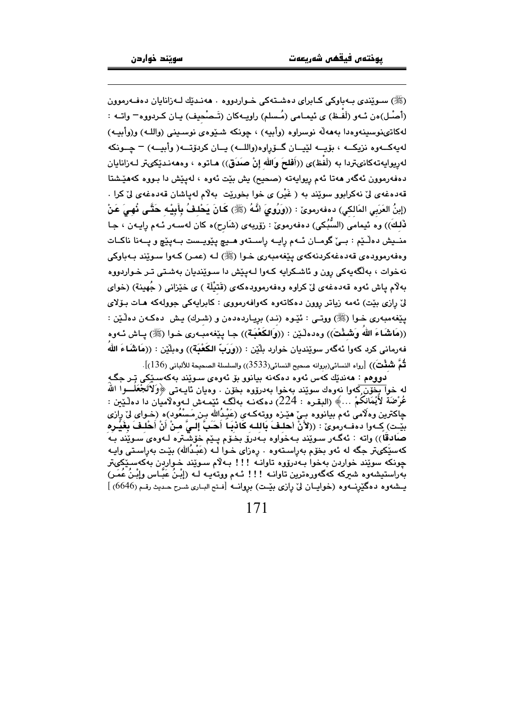(ﷺ) سويندي بيهباوكي كباراي دهشتهكي خواردووه ٠ ههندتك لـهزانابان دهفـهرموون (أَصِبْل)ەن ئـهو (لَفَـظ) ي ئيمـامي (مُـسلم) راويـهكان (تَـصْحيف) يـان كـردووه – واتــه : لەكاتىنوسىنەوەدا بەھەلە نوسراوە (وأبيه) ، جونكە شىئوەي نوسىنى (واللـە) و(وأبيـە) لەبەكــەوە نزيكــە ، بۆيــە لێيــان گــۆراوە(واللــە) بــان كرېۆتــە( وأبيــە) – جــونكە لەريوايەتەكانىتردا بە (لَفْظ)ى ((أَفلحَ وَالله إنْ صَدَق)) ھـاتوە ، وەھەنـدێكىتر لـەزانايان دهفهرموون ئهگەر مەتا ئەم ريوايەتە (صحيح) يش بيّت ئەوە ، لەيێش دا بىووە كەمێشتا قەدەغەي لىْ نەكراپور سويْند بە ( غَيْر) ي خوا بخوريْت بەلام لەياشان قەدەغەي لىْ كرا . (إِبنُ العَرَبِي المَالكي) دەفەرموێ : ((وَرُوِيَ أَنَّهُ (ﷺ) كَانَ يَحْلفُ بِأَبِيْـهِ حَتَّـى نُهـىَ عَنْ ذَلِكَ)) وه ئيمامي (السُّبُكي) دەفەرمويّ : زۆربەي (شَارح)ه كان لەسـەر ئـهم رايـەن ، جـا منيش دهلّيم : بييٌ گومان ئـهم رايـه راسـتهو هـيچ يێويـست بـهيێچ و يـهنا ناكـات وهفهرمووده ي قەدەغەكردنەكەي يېغەمبەرى خـوا (ﷺ) لـه (عمـر) كـەوا سـوێند بـەباوكى نهخوات ، بهلگهبهکی رون و ئاشکرابه کـهوا لـهیێش دا سـوێندبان بهشـتی تـر خـواردووه بهلّام ياش ئەوە قەدەغەي ليّ كراوە وەفەرموودەكەي (قَتَيْلَة ) ي خيّزاني ( جُهينة) (خواي ليٌ رازي بيّت) ئەمە زياتر روون دەكاتەوە كەولفەرمووى : كابرايەكى جوولەكە ھـات بـۆلاي يێغەمبەرى خـوا (ﷺ) ووتـى : ئێـوه (نـد) بريـاردەدەن و (شـرك) يـش دەكـەن دەڵـێن : ((مَاشَاءَ الله وَشَـنْتَ)) وهدهڵێن : ((وَالكَعْبَـة)) جـا پێفهمبـهري خـوا (ﷺ) پـاش ئـهوه فەرمانى كرد كەوا ئەگەر سوێنديان خوارد بِلّێن : ((وَرَبّ الكَعْبَة)) وەبلّێن : ((مَاشَاءَ اللّهُ لْثُمَّ شُفّْتَ)) [رواه النسائي(بروانه صحيح النسائي(3533)) والسلسلة الصحيحة للألباني (136)].

.<br>دو وهم : ههندٽك كهس ئهوره دوكهنه پيانوو پق ئهور*وي س*وٽند پهكهس<u>ٽ</u>كي تر چگـه له خوا بخوّن كهوا نهوهك سويّند بهخوا بهدروّوه بخوّن . وهيان ئايـهتي ﴿وَلَاتَجْعَلَـــوا اللَّه عُرْضَةَ لأَيْمَانكُمْ …﴾ (البقـره : 224) دەكەنــە بەلگــە ئێمـەش لــەوەلاميَان دا دەلٚێين : ڃاکترين وهلَّامي ئهم بيانووه بـيِّ هيْـزه ووتـهکـهي (عَيْـدُالله بـن ِمَـسْعُود)ه (خـواي ليّ رازي بيِّت) كِـ4وا دهفـ4رمويِّ : ((لأَنْ أَحلـفَ بَاللـه كَاذْبَـا أَحَبُّ إِلـيِّ منْ أَنْ أَحْلـفَ بِغَيْـره صَادقاً)) واته : ئەگەر سوێند بەخواوە بەدرۆ بخۆم پـێم خۆشـترە لـەوەى سـوێند بـە کهسێکیټر جگه له ئهو بخۆم بهراسـتهوه ٠ رهزای خـوا لــه (عَبْـدُالله) بێت بهراسـتی واپــه چونکه سوێند خواردن بهخوا بـهدرۆوه تاوانــه !!! بـهلاّم سـوێند خـواردن بهکهسـێکىتر بەراستیشەوہ شیرکە کەگەورەترین تاوانــه !!! ئــهم ووتـهـیــه لــه (إِبْـنَ عَبّــاس وإِبْـنَ عَمَـر) يـشهوه دهگيّزنـهوه (خوايـان ليّ رازي بيّـت) بروانـه [فتح البـاري شـرح حـديث رقـم (6646) ]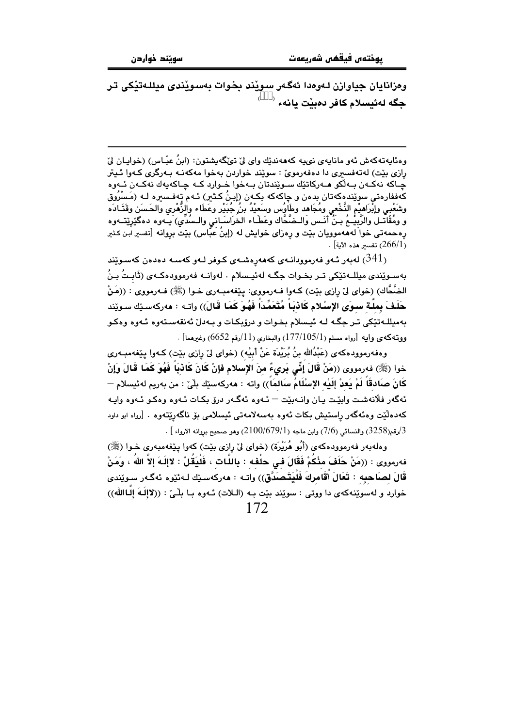وهزانابان جياوازن لـهوهدا ئهگـهر سويٽد بـخوات بهسويٽدي ميللـهتٽِکي تـر 

وهئايەتەكەش ئەو مانايەي نىيە كەھەندێك واي ليْ تىْگەيشتون: (ابنُ عبَّـاس) (خواپـان ليْ رازي بێت) لهتهفسيري دا دهفهرمويّ : سوێند خواردن بهخوا مهكهنـه بـهرگري كـهوا ئـيتر چـاکه نهکـهن بـهڵکو مـهرکاتێك سـوێندتان بـهخوا خـوارد کـه چـاکهيهك نهکـهن ئـهوه كەففارەتى سوێندەكەتان بدەن و چاكەكە بكەن (إبنُ كـثير) ئـهم تەفـسيرە لـه (مَـسْرُوق وشَعْبي وإبْرَاهِيْم النَّخْعي ومُجَاهد وطَاوُس وسَعيْدُ بنُ جُبَيْر وعَطَاء والزَّهْرى والحَسَن وقَتَـادَه و ومَقَاتــل والرّبيـْــمَ بــنَ أنّــس والــضّحّاك وعَطّــاء الـخرَاسَــاني والــسُدَي) يــهوه دهگێرِێتــهوه رهحمهتی خوا َلهههموویان بنّیت و رهزای خوایش له (إِبنُ عَبّاس) بنّیت بروانه [تفسیر آبن کـثیر . [266/1] تفسير هذه الآية .

لەبەر ئـەو فەرموودانـەى كەھەرەشـەى كـوفر لـەو كەسـە دەدەن كەسـوێند  $(341)$ بەسىوێندى مېللـﻪتێكى تـﺮ بـﺨـﻮﺍﺕ ﺟﮕـﻪ ﻟﻪﺋﭙـﺴﻼﻡ . ﻟﻪﻭﺍﻧـﻪ ﻓﻪﺭﻣﻮﻭﺩﻩﻛـﻪﻯ (ﺋَﺎﺑـﺖُ ﺑـﻦُ الضَّحَّاك) (خواي ليّ رازي بيّت) كـهوا فـهرمووي: يـيّغهمبـهري خـوا (ﷺ) فـهرمووي : ((مَنْ حَلَفَ بِملَّة سورَى الإِسْلام كَاذْبَاً مُتَعَمِّدَاً فَهُوَ كَمَا قَالَ)) واتـه : مەركەسـێك سـوێند بەميللـەتێكى تـر جگـه لـه ئيـسلام بخـوات و درۆپكـات و بـﻪدلْ ئەنقەسـتەوە ئـﻪوە وەكـو ، ووته كه ي وابيه [رواه مسلم (177/105/1) والبخاري (11/رقم 6652) وغيرهما] .

وهفهرموودهكهي (عَبْدُالله بنُ بُرَيْدَة عَنْ أَبِيْهِ) (خواي ليْ رِازي بيّت) كـهوا پيّغهمبـهري خوا (ﷺ) فەرمووى ((مَنْ قَالَ إِنِّي بَرِيءٌ مِنَ الإِسلام فإِنْ كَانَ كَادْبَاً فَهُوَ كَمَا قَالَ وَإِنْ كَانَ صِبَادِقَاً لَمْ يَعِدْ إِلَيْهِ الإِسْلَامُ سَالِمَاً)) وإنه : هەركەسێك بِلْيٌ : من يەرىم لەئىسلام — ئهگەر فلانەشت وابێت يان وانـهبێت — ئـهوه ئەگـهر درۆ بكـات ئـهوه وهكـو ئـهوه وايـه كەدەلێت وەئەگەر راستيش بكات ئەوە بەسەلامەتى ئىسلامى بۆ ناگەرێتەوە . [رواە ابو داود .<br>3/رقم(3258) والنسائي (7/6) وابن ماجه (1/679/1) (2100) وهو صحيح بروانه الارواء ] .

وهلهبهر فهرموودهكهي (أَبُو هُرَيْرَة) (خواي ليّ رازي بيّت) كهوا ييّغهمبهري خـوا (ﷺ) فهرمووى : ((مَنْ حَلَفَ مِنْكُمْ فَقَالَ في حلْفه : بِاللَّات ، فَلْيَقُلْ : لاإِلَـهَ إِلاَّ اللهُ ، وَمَنْ قَالَ لصاَحبِه : تَعَالَ أُقَامِرِكَ فَلْيَتَصَدَّقّ)) واتـه : مەركەسێك لـەئێوە ئەگـەر سـوێندى خوارد و لهسوێنهكهي دا ووتي : سوێند بێت بـه (الـلات) ئـهوه بـا بلّـيّ : ((لاإلَـهَ إلـاالله))  $172$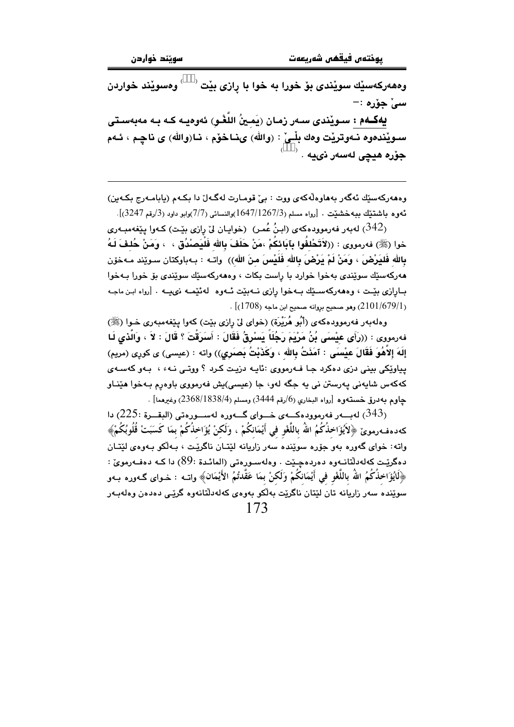وهههرکهسێك سوێِندى بۆ خورا به خوا با رازى بێت <sup>‹</sup> <sup>)</sup> ومسوٽند خواردن سيٰ جۆرە ∶−

يەكــەم : سـوێندى ســەر زمـان (يَمـينُ اللّغْـو) ئەوەيــە كـه بـه مەبەسـتى سـويْندەوە نـﻪوتريْت وەك بِلْـىْ : (والله) ىنـاخۆم ، نـا(والله) ى ناچـم ، ئـﻪم جۆرە ھيچى لەسەر نىيە . <sup>‹</sup>

وهههرکهسێك ئهگهر بههاوهڵهکهي ووت : بيّ قومارت لهگهلّ دا بکهم (يابامـهرج بکـهين)  $(3247, 3247)$ ، ئەورە باشتىنك بىيەخشىنىت ،  $[1647/1267/3)$ والنسائى (7/7)وابو داود (3/رقم 3247)

له بهر فه رمووده که ی (ابنُ عُمر) (خوابان لی رازی بیّت) کـهوا ییّغه مبـه ری (342) خوا (ﷺ) فەرمووى : ((لاَتَحْلفُوا بِآبَائِكُمْ ،مَنْ حَلَفَ بِالله فَلْيَصِنْدُق ، ، وَمَنْ حُلِفَ لَهُ بِالله فَليَرْضَ ، وَمَنْ لَمْ يَرْضَ بِالله فَلَيْسَ منَ اللهِ)) واتـه : بـهباوكتان سـوێند مـهخوّن مەركەسێك سوێندى بەخوا خوارد با راست بكات ، وەمەركەسێك سوێندى بۆ خورا بـەخوا بـارازي بيّـت ، وههەركەسـێك بـهخوا رازي نـهبيّت ئـهوه لهئيّمـه نىيـه . [رواه ابـن ماجـه .  $(1708)$  وهو صحيح بروانه صحيح ابن ماجه  $(1708)$  .

وهلهبهر فهرموودهكهي (أَبُو هُرَيْرَة) (خواي ليّ رازي بيّت) كهوا يـيّغهمبهري خـوا (ﷺ) فهرمووى : ((رَأَى عَيْسَى بُنُ مَرْيَمَ رَجُلَاً يَسْرِقُ فَقَالَ : أَسَرَقْتَ ؟ قَالَ : لاَ ، وَالَّذى لَـا إِلَهَ إِلاَّهُوَ فَقَالَ عِيْسَى : آمَنَتُ بِالله ، وكَذَبْتُ بَصِبَرِي)) واته : (عيسى) ي كوري (مريم) يپاوٽکي بيني دزي دهکرد جا فــهرمووي :ٽاپــه دزيـت کـرد ؟ ووتــي نــهءَ ، بــهو کهســهي کهکهس شايهني پهرستن تي په حگه لهو، جا (عيسي)بش فهرمووي باوهرم پـهخوا هێنـاو جاوم به درق خستهوه [رواه البخاري (6/رقم 3444) ومسلم (3/88/1838/4) وغيرهما] .

الله به الله على الله عليه الله عليه الله عليه الله عنه الله عليه الله عليه الله عليه الله عليه الله عليه الله كەدەفەرمويٌ ﴿لاَيُؤَاخِذُكُمُ اللّهُ بِاللُّغْوِ فِي أَيْمَانكُمْ ، وَلَكنْ يُؤَاخِذُكُمْ بِمَا كَسَبَتْ قُلُوبُكُمْ﴾ واته: خوای گەورە بەو جۆرە سويندە سەر زاريانە لێتـان ناگرێت ، بـەلکو بـەوەی لێتـان دەگرێت كەلەدلتانـەوە دەردەجـێت . وەلەسـورەتى (المائـدة :89) دا كـە دەفـەرمويّ : ﴿الْيُؤَاخِذُكُمُ اللَّهُ بِاللَّغْوِ فِي أَيْمَانِكُمْ وَلَكنْ بِمَا عَقَّدتُمُ الأَيْمَانِ﴾ وإتــه : خـوإي گــهوره بــهو سوێنده سەر زاریانە تان لێتان ناگرێت بەڵکو بەوەي کەلەدڵتانەوە گرێی دەدەن وەلەبـەر  $173$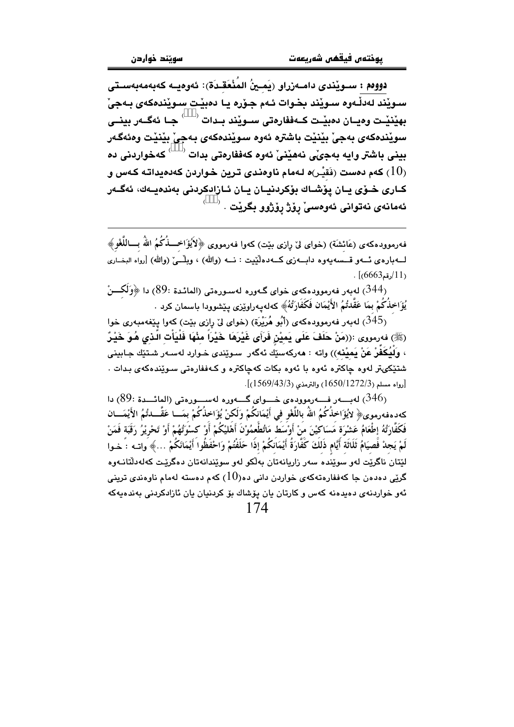دووم : سـوێندي دامـەزراو (بَمـينُ المُنْعَقـدَة): ئەوەبــە كەبەمەبەسـتى سيويْند لەدڵەرە سىويْند بخىوات ئىەم جىۆرە يا دەبيْت سىويْندەكەي بىەجىْ بهێنێت وهيــان دەبێـت ڪـەففارەتى ســوێند بــدات <sup>( \_\_\_</sup> جــا ئەگــەر بينــى سوێندهکەی بەجیْ بێنێت باشترە ئەوە سوێندەکەی بەجیْ بێنێت وەئەگەر بيني باشتر وايه بهجيّي نههيّنيّ ئهوه كهففارهتي بدات  $\langle \quad \rangle$  كهخواردني ده کهم دمست (نَقيْـر)ه لـهمام ناوهندي تـرين خـواردن کهدميداتـه کـهس و $\left(10\right)$ كـارى خـۆي يـان يۆشـاك بۆكردنيـان يـان ئـازادكردنى بەندەيـەك، ئەگـەر ئەمانەى نەتوانى ئەوەسى رۆژ رۆژوو بگريْت

فه رموودهکهی (عَائشَة) (خوای لیْ رِازی بنیت) کهوا فه رمووی ﴿لاَيُؤَاخِـــٰذُکُمُ اللَّهُ بِـــاللَّغْوِ﴾ لــــه باره ی ئــــه و قــــــــمـه وه دابــــه زی کـــه ده اُنیست : نــــه (والله ) (والله ) [رواه البخــاری  $\frac{1}{1}$ رقم(6665).

(344) لەيەر فەرموۋدەكەي خواي گەورە لەسورەتى (المائىدة :89) دا ﴿وَلَكِــنْ يُؤَاخِذُكُمْ بِمَا عَقَّدْتُمُ الأَيْمَانِ فَكَفَارَتُهُ﴾ كەلەيەراوێزى يێشوودا باسمان كرد .

بان الله عليه الله عنه الله عنه الله عنه الله عنه الله عنه الله عنه الله عنه الله عنه الله عنه الله عنه الله ع<br>والله عنه الله عنه الله عنه الله عنه الله عنه الله عنه الله عنه الله عنه الله عنه الله عنه الله عنه الله عنه (ﷺ) فەرمورى :((مَنْ حَلَفَ عَلَى يَميْنِ فَرَأَى غَيْرِهَا ـخَيْراً مِنْهَا فَلْيَأْتِ الَّـذِى هُـوَ خَيْـرٌ ، ولَيُكَفِّرْ عَنْ يَميْنه)) واته : مەركەسێَك ئەگەر سـوێندى خـوارد لەسـەر شـتێك جـابينى .<br>شتێِکىتر لەوە چاکترە ئەوە با ئەوە بکات کەچاکترە و کـەڧڧارەتى سـوێندەکە*ى* بـدات . [رواه مسلم (1650/1272/3) والترمذي (1569/43/3)].

ب الله عليه الله عليه الله عليه الله عليه الله عليه الله عليه الله عليه الله عليه الله عليه الله عليه الله علي<br>والله عليه الله عليه الله عليه الله عليه الله عليه الله عليه الله عليه الله عليه الله عليه الله عليه الله علي كەدەفەرموي﴿ لايُؤَاخِذُكُمُ اللّهُ باللَّغْو في أَيْمَانكُمْ وَلَكنْ يُؤَاخِذُكُمْ بِمَــا عَقَّـــا تُمُ الأَيْمَـــان فَكَفَّارَتُهُ إطْعَامُ عَشْرَة مَسَاكيْنَ مَنْ أَوْسَطَ مَاتُطْعِمُوْنَ أَهْليْكُمْ أَوْ كَسْوَتُهُمْ أَوْ تَحْريْرُ رَقَبَة فَمَنْ لَمْ يَجِدْ فَصِيَامُ ثَلَاثَة أَيَّام ذَلَكَ كَفَّارَةُ أَيْمَانَكُمْ إذًا حَلَفْتُمْ وَاحْفَظُوا أَيْمَانَكُمْ …﴾ واتــه : خـوا لٽتان ناگريٽ لهو سوينده سهر زاريانهتان بهلکو لهو سويندانهتان دهگريٽ کهلهدلتانـهوه گرٽي دودون جا کهففاروتهکهي خوارين داني دو $(10)$  کهم دوسته لهمام ناووندي تريني ئەو خواردنەي دەيدەنە كەس و كارتان يان يۆشاك بۆ كردنيان يان ئازادكردنى بەندەيەكە  $174$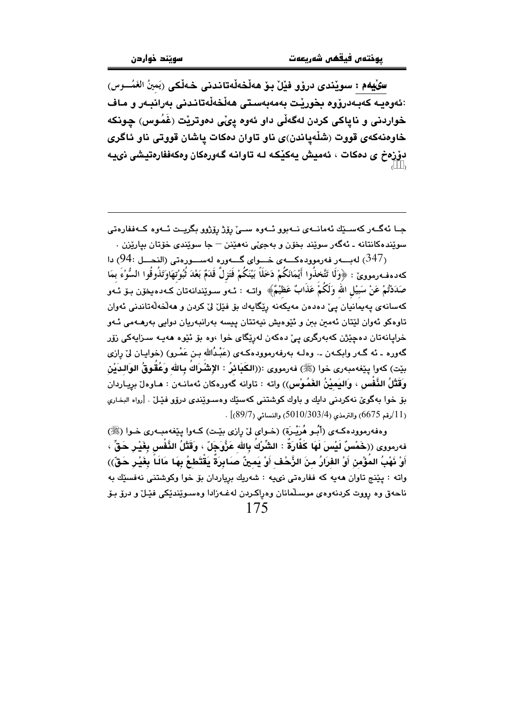سِيْلِيهِم : سوێندي درۆو فێل بِـوْ هەڵخەڵەتاندنى خـەڵكى (يَمينُ الغَمُـــوس) :ئەوەييە كەببەدرۆوە بخورێت بەمەبەستى ھەڵخەڵەتانىدنى بەرانبەر و ماف خواردنی و نایاکی کردن لهگهڵی داو ئهوه ییّی دموتریْت (غَمُوس) چونکه خاوهنهکهی قووت (شلّهپاندن)ی ناو تاوان دمکات پاشان قووتی ناو ئاگری دۆزەخ ي دەكات ، ئەميش پەكێكە لـە تاوانـە گـەورەكان وەكەففارەتيشى نىيـە

۔<br>حـا ئەگــەر كەســێك ئەمانــەى نــەبوو ئــەوە ســئ رۆژ رۆژوو بگريــت ئــەوە كــەففارەتى سويٽده کانتانه ۔ ئەگەر سويٽد بخۆن و بەجىؒ، نەھێنن – جا سويٽدى خۆتان بياريزن .

لەبسەر فەرموودەكسەي خسواي گسەورە لەسسورەتى (النحسل :94) دا $(94:$  دا $(347)$ كەدەفـەرمووێ : ﴿وَلَا تَتَّخذُوا أَيْمَانَكُمْ دَخَلَاً بَيْنَكُمْ فَتَزِلَّ قَدَمٌ بَعْدَ ثُبُوْتهَاوَتَذُوقُوا السُّوْءَ بمَا صَدَدْتُمْ عَنْ سَبَيْلِ الله وَلَكُمْ عَذَابٌ عَظِيْمٌ﴾ واتــه : ئــهو سـوێندانهتان كـهدهيخون بـو ئـهو كەسانەي يەيمانيان يې دەدەن مەيكەنە رێگايەك بۆ فێلْ لىْ كردن و ھەلْخەلەتاندنى ئەوان ۔<br>تاوہکو ئەوان لێتان ئەمىن بىن و ئێوەيش نيەتتان ييسە بەرانبەريان دوايى بەرھـﻪمى ئـﻪو خرايانەتان دەچێژن كەبەرگرى يے دەكەن لەرێگاى خوا ،وە بۆ ئێوە ھەپـە سىزاپەكى زۆر گەورە ـ ئە گـەر وابكـەن ـ. وەلـە بەرفەرموودەكـەي (عَبْدُالله بـن عَمْـرو) (خواپـان لىْ رازى بيّت) كەوا يـێغەمبەرى خوا (ﷺ) فەرمووى :((الكَبَائرُ : الإِشْرَاكُ بِالله وَعُقُوقُ الوَالدَيْنِ وَقَتْلُ النَّفْس ، وَاليَميْنُ الغَمُوْس)) واته : تاوانه گەورەكان ئەمانـەن : ھـاوەلْ برِيـاردان بۆ خوا بەگوێ نەكردنى دايك و باوك كوشتنى كەسىيك وەسىوپندى درۆو فيلل . [رواه البخارى  $(11)$ رقم 6675) والترمذي (303/4/5010) والنسائي (89/7)] .

وهفهرموودهكهي (أَبُـو هُرَيْـرة) (خـواي ليّ رازي بيّـت) كـهوا ييّغهمبـهري خـوا (ﷺ) فەرمورى ((خَمْسُ لَيْسَ لَهَا كَفَّارَةٌ : الشِّرْكُ بِالله عَزَّوَجَلّ ، وَقَتْلُ الذَّفْس بِغَيْرِ حَقٌّ ، أَوْ نَهْبُ المُؤْمِنِ أَوْ الفَرَارُ مِنَ الزَّحْفِ أَوْ يَمِينٌ صَابِرَةٌ يَقْتَطِعُ بِهَا مَالَـاً بِغَيْرِ حَقّ)) واته : پێنج تاوان هەپە كە ففارەتى نىيە : شەريك برياردان بۆ خوا وكوشتنى نەفسێك بە ناحەق وە رووت كردنەوەي موسىلّمانان وەراكىردن لەغـەزادا وەسـوێندێكى فێـلٚ و درۆ بـۆ 175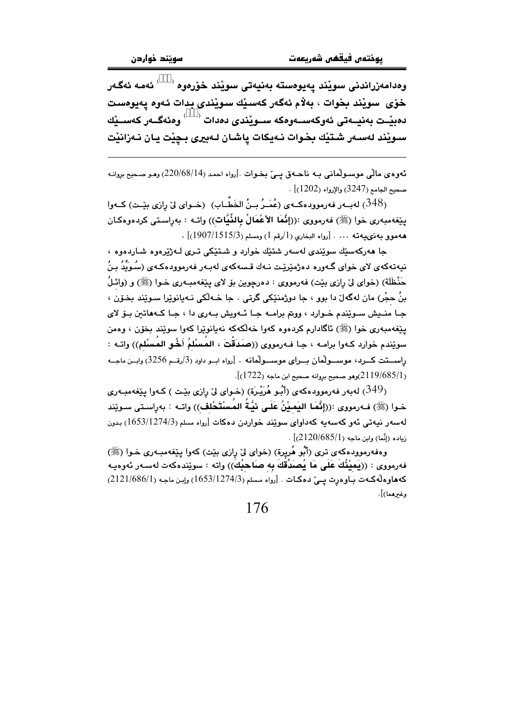وەدامەزراندنى سويْند يەيوەستە بەنيەتى سويْند خۆرەوە <sup>( )</sup> ئەمە ئەگەر خۆی سويْند بخوات ، بەلام ئەگەر كەسىيك سويىدى بدات ئەوە يەيوەست دەبيّـت بەنيــەتى ئەوكەســەوەكە ســويّندى دەدات <sup>‹ )</sup> وەئەگــەر كەســيّك سىويْند لەسەر شتيْك بخوات نـەيكات ياشـان لـەبيرى بـڃيْت يـان نـەزانيْت

ئەوەي مالّى موسىولْمانى بـﻪ ناھـﻪق يـێ بـﻐـﻮات .[رواه احمد (8/14/220) وھـﻮ صـﺤﻴﺢ ﺑﺮﻭاﻧـﻪ . صحيح الجامع (3247) والإرواء (1202)

(348) لهبـهر فهرموودهكـهى (عُمَـرُ بـنُ الخَطَّـابِ) (خـواي ليّ رازي بيّـت) كـهوا ينِفهمبهري خوا (ﷺ) فهرمووي :((إنَّهَا الأعْمَالُ بِالذِّيَّات)) واتـه : بهرِاسـتي كردهوهكـان هه مو و به ذي بيه ته ... . [رواه البخاري (1/رقم 1) ومسلم (1907/1515/3) .

جا مەركەسێك سوێندى لەسەر شتێك خوارد و شـتێكى تـرى لـەژێرەوە شـاردەوە ، نیەتەكەی لای خوای گـەورە دەژمێرێت نـەك قـسەكەی لەبـەر فەرموودەكـەی (سُـوَيِّدُ بـنُ حَنْظَلَة) (خواي ليّ رازي بيّت) فهرمووي : دهرچوين بوّ لاي پيّغهمبـهري خـوا (ﷺ) و (وائـلُ بنُ ڇڇُر) مان لهگهل دا پور ۽ ڇا دوڙمنٽکي گرتي ، ڇا ڪهلُکي نيهبانوٽرا سيوٽند پخون ۽ جا منيش سـوێندم خـوارد ، ووتم برامـه جـا ئـهويش بـهري دا ، جـا كـههاتين بـوّ لاي يێغەمبەرى خوا (ﷺ) ئاگادارم كردەوە كەوا خەلكەكە نەيانوێرا كەوا سوێند بخۆن ، وەمن سويْندم خوارد كـهوا برامـه ، جـا فـهرمووي ((صَدَقْتَ ، المُسْلَمُ أَخُو المُسْلَم)) واتـه : راســتت كــرد، موســولّمان بــراى موســولّمانه . [رواه ابــو داود (3/رقــم 3256) وابــن ماجــه  $(1722)$ وهو صحيح بروانه صحيح ابن ماجه  $(2119/685/1)$ .

(349) لەبەر فەرموودەكەي (أَبُو هُرَيْرَة) (خـواي لِيْ رِازى بيْـت ) كـەوا پيْغەمبـەرى خـوا (ﷺ) فـﻪرمووى :((إنَّعَـا اليَمـيْنُ عَلَـى نيَّـةُ المُسنْتَحْلف)) واتــه : بهراسـتى سـوێِند لەسەر نيەتى ئەو كەسەپە كەداۋاي سويند خواردن دەكات [رواە مسلم (1653/1274/3) بدون  $\sim$ زياده (إنَّما) وإين ماجه (2120/685/1).

وهفهرموودهکهي تري (أَبُو هُريرة) (خواي ليّ رازي بيّت) کهوا پيّغهمبـهري خـوا (ﷺ) فهرمووى : ((يَميْنُكَ عَلَى مَا يُصَدِّقَكَ بِهِ صَاحِبُكَ)) واته : سوێندهكهت لهسـهر ئهوهيـه كەھارەلەكەت بارەرت يىيٌ دەكات . [رواه مسلم (1653/1274/3) وإبن ماجە (2121/686/1) وغيرهما)].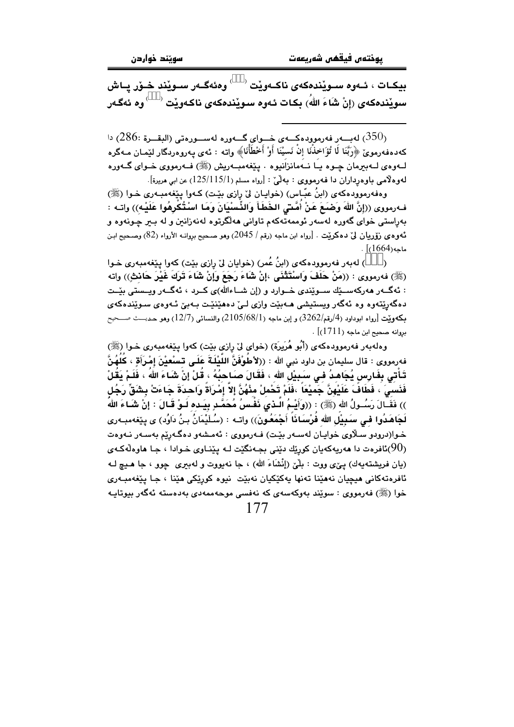بيكـات ، ئــەوە ســوێندەكەي ناكــەوێت  $\sim$ وەئەگــەر ســوێند خــۆر يــاش سويْندەكەي (إِنْ شَاءَ اللهُ) بكات ئەوە سويْندەكەي ناكـەويْت  $\langle\quad\rangle$ وە ئەگـەر

لەبـــەر فەرموودەكــــەي خـــواي گــــەورە لەســـورەتى (البقـــرة :286) دا $(286;$ كەدەڧەرموێ ﴿رَبَّنَا لَا تُؤَاخِذْنَا إِنْ نَسيْنَا أَوْ أَخْطَأْنَا﴾ واتە : ئەي يەروەردگار لێمـان مـەگرە لــهوهي لــهبيرمان چــوه يــا نــهمانزانيوه . يـێغهمبــهريش (ﷺ) فــهرمووي خــواي گــهوره لهوهلامي باوهڕداران دا فهرمووي : بهلْيٌ : [رواه مسلم (1/115/1) عن ابي مريرة].

وهفهرموودهکهی (ابنُ عبّـاس) (خوابـان ليّ رازي بێت) کـهوا پێغهمبـهري خـوا (ﷺ) فـهرمووى ((إِنَّ اللهَ وَصْبَعَ عَنْ أَمَّـٰتِى الخَطَأَ وَالذِّسْنِيَانَ وَمَا اسْتُكْرِهُوا عَلَيْـه)) واتـه : بەراستى خواى گەورە لەسەر ئوممەتەكەم تاوانى ھەلگرتوە لەنەزانىن و لە بىر چونەوە و ئەوەي زۆريان لىٌ دەكريْت . [رواه ابن ماجە (رقم / 2045) وهو صـحيح بږوانــه الأرواء (82) وصـحيح ابـن  $\lceil (1664) \rceil$ ماحه

) له به ر فه رمووده که ی (ابنُ عُمر) (خوایان لیّ رازی بیّت) کهوا پیّغهمبهری خـوا  $\lambda$ (ﷺ) فه رمووى : ((مَنْ حَلَفَ وَاسْتَتْنَى ،إنْ شَاءَ رَجَعَ وَإِنْ شَاءَ تَرَكَ غَيْرَ حَانثٍ)) واته : ئەگــەر ھەركەســێك ســوێندى خــوارد و (إن شــاءالله)ى كــرد ، ئەگــەر ويــستى بێــت دهگەرِیّتەوه وه ئەگەر ویستیشی مـەبیّت وازی لـیّ دەمیّنیّت بـەبیّ ئـەوەی سـویّندەكەی بِكَة وَيْت [رواه ابوداود (4/رقم/3262) و إبن ماجه (2 $105/68/1) والنسائي (12/7) وهو حـديــــث صـــحيح$  $\cdot$  بروانه صحيح ابن ماجه (1711)

وهلهبهر فهرموودهكهي (أَبُو هُرَيِرَة) (خواي ليِّ رازي بيِّت) كهوا يـيِّغهمبهري خـوا (ﷺ) فهرمووي : قال سليمان بن داود نبي الله : ((لأطوْفُنَّ الليْلُـةُ عَلَـى تـْسْعَيْنَ إِمْـرَأَةٍ ، كلهُنَّ تَـأْتـَى بِفَـارِس يُـجَاهـدُ فـي سَـبِيْل الله ، فَقَـالَ صـَـاـحبُهُ ، قُـلْ إِنْ شَـاءَ اللهُ ، فَلَـمْ يَقُلْ فَنَسـىَ ، فَطَافَ عَلَيْهِنَّ جَميْعَا ،فَلَمْ تَحْملْ مِنْهُنَّ إِلاَّ إِمْرَأَةَ وَاحدَةَ جَاءَتْ بشَقِّ رَجُل )) فَقَـالَ رَسُــولُ الله (ﷺ) : ((وَأَيْـمُ الـذي ذَفـسُ مُحَمَّـدٍ بِيَـده لَـوْ قَـالَ : إِنْ شَـَاءَ الله لَجَاهَدُوا في سَبِيْلَ الله فُرْسَـانَاً أَجْمَعُونَ)) واتـه : (سُـلَيْمَانُ بـنُ دَاوُد) ي يێغهمبـهري خـوا(درودو سـلاوي خوايـان لهسـهر بێـت) فــهرمووي : ئهمـشهو دهگـهرێم بهسـهر نـهوهت افرهت دا هەريەكەيان كورێك دێنى بجەنگێت لــه يێنــاوي خـوادا ، جـا هاوەڵەكـهى $(90)$ (يان فريشتهيهك) يـيٌى ووت : بلْنيٌ (إِنْشَاءَ الله) ، جا نهيووت و لهبيري چوو ، جا هـيـچ لــه ئافرەتەكانى مىچيان نەمێنا تەنھا يەكێكيان نەبێت نيوە كورێكى مێنا ، جـا يێغەمبـەرى خوا (ﷺ) فەرمووى : سوێند بەوكەسەى كە نەفسى موحەممەدى بەدەستە ئەگەر بيوتايـە 177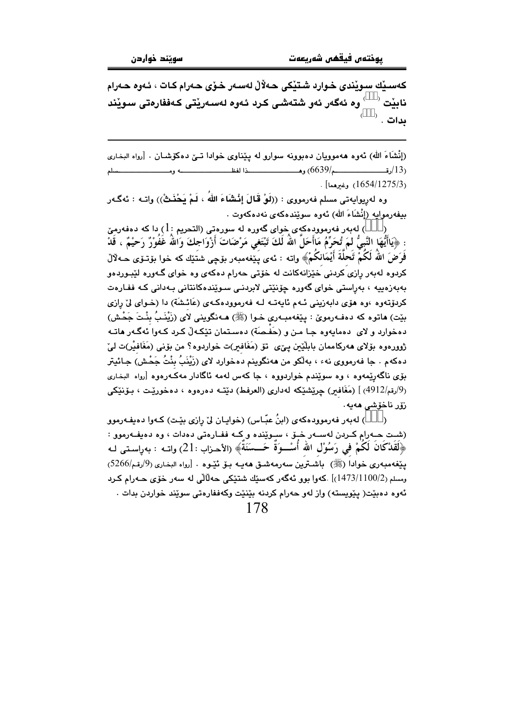كەسىڭك سويندى خوارد شتيكى حەلال لەسەر خىزى حەرام كات ، ئەوە حەرام <sup>،</sup> وه ئەگەر ئەو شتەشى كرد ئەوە لەسەريتى كەففارەتى سويند ناىٽت '  $^\flat$  . بدات

(إِنْشَاءَ اللهِ) ئەوە ھەموويان دەبوونە سوارو لە پێناوي خوادا تـێ دەكۆشـان . [رواه البخاري . [1654/1275/3] . وغىرهما]

وه لهرِيوايهتي مسلم فهرمووي : ((لَوْ قَالَ إِنْشَاءَ اللَّهَ ، لَمْ يَحْنَـثْ)) واتــه : ئهگـهر بِيفِهِرِمِوابِهِ (إِنْشَاءَ اللهِ) ئەوە سوێندەكەي نەدەكەوت .

له بهر فهرموودهکهی خوای گهوره له سورهتی (التحریم : 1) دا که دهفهرمیّ ( : ﴿يَاأَيُّهَا النَّبِيُّ لَمَ تُحَرِّمُ مَاأَحَلَّ اللهُ لَكَ تَبْتَغِي مَرْضَاتَ أَزْوَاجِكَ وَالله غَفُوْرٌ رَحيْمٌ ، قَدْ فَرَضَ اللَّهُ لَكُمَّ تَحَلَّةَ أَيْمَانكُمْ﴾ واته : ئەى پَيْغەمبەر بۆچى شتَيْك كە خوا بۆتىۆى حـەلالْ کردوه لهبهر رازی کردنی خێزانهکانت له خۆتی حهرام دهکهی وه خوای گـهوره لێبـوردهو بەبەزەييە ، بەراستى خواى گەورە چۆنێتى لابردنى سىرێندەكانتانى بەدانى كە ففـارەت کردۆتەوە ،وە ھۆي دابەزينى ئـەم ئابەتـە لـە فەرموودەكـەي (عَائـشَة) دا (خـواي ليّ رازي بِيّت) ماتوه که دهفـهرموێ : پێِغهمبـهري خـوا (ﷺ) مـهنگويني لاي (زَيْنَـبُ بِنْـتَ جَحْـش) دهخوارد و لای ِ دهمایهوه جـا مـن و (حَفـصَة) دهسـتمان تێکـهڵ کـرد کـهوا ئهگـهر هاتـه ژوورەوە بۆلاي ھەركاممان بابلێين يېي تۆ (مَغَافير)ت خواردوە؟ من بۆنى (مَغَافيْر)ت لىيْ دهكهم . جا فەرمووى نهء ، بەلْكو من ھەنگوينم دەخوارد لاي (زَيْنَبُ بِنْتُ جَحْش) جـائيتر بۆی ناگەرێمەوە ، وە سوێندم خواردووە ، جا كەس لەمە ئاگادار مەكـەرەوە [رواە البخـارى (9/رقم/4912) ] (مَغَافير) چرێشێکه لهداري (العرفط) دێتـه دهرروه ، دهخورێت ، بـۆنێکي زۆر ناخۆشى ھەيە .

) لەبەر فەرموودەكەي (ابنُ عبّاس) (خواپـان ليْ رازى بێت) كـەوا دەيفـەرموو  $\lambda$ (شت حـهرام كـردن لهسـهر خــوّ ، سـويّنده و كــه ففـارهتى دهدات ، وه دهيفـهرموو : ﴿لَقَدْكَانَ لَكُمْ فِي رَسُوْلِ اللَّهَ أَسْــوَةً حَــسَنَةً﴾ (الأحزاب :21) واتــه : بهراسـتـي لــه يَيْغَهمبهري خوادا (ﷺ) باشترين سهرمهشـق ههيـه بــوّ ئَيْــوه . [رواه البخاري (9/رقم/5266) ومسلم (2/1100/2)145)] .کەوا بوو ئەگەر کەسىيّك شتىيكى حەلالى لە سەر خۆي حـەرام کـرد ئەوە دەبێت( پێویسته) واز لەو حەرام كردنە بێنێت وكەففارەتى سوێند خواردن بدات . 178